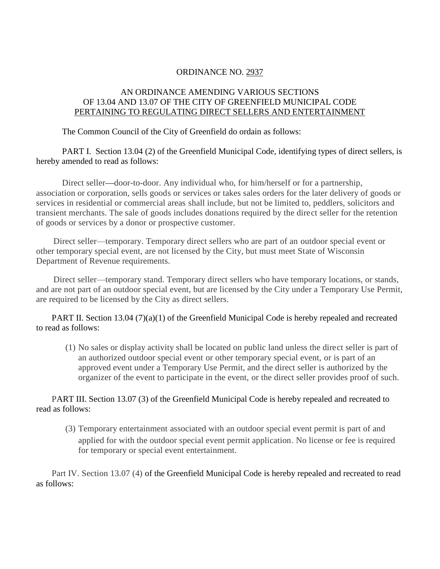## ORDINANCE NO. 2937

## AN ORDINANCE AMENDING VARIOUS SECTIONS OF 13.04 AND 13.07 OF THE CITY OF GREENFIELD MUNICIPAL CODE PERTAINING TO REGULATING DIRECT SELLERS AND ENTERTAINMENT

The Common Council of the City of Greenfield do ordain as follows:

PART I. Section 13.04 (2) of the Greenfield Municipal Code, identifying types of direct sellers, is hereby amended to read as follows:

Direct seller**—**door-to-door. Any individual who, for him/herself or for a partnership, association or corporation, sells goods or services or takes sales orders for the later delivery of goods or services in residential or commercial areas shall include, but not be limited to, peddlers, solicitors and transient merchants. The sale of goods includes donations required by the direct seller for the retention of goods or services by a donor or prospective customer.

Direct seller—temporary. Temporary direct sellers who are part of an outdoor special event or other temporary special event, are not licensed by the City, but must meet State of Wisconsin Department of Revenue requirements.

Direct seller—temporary stand. Temporary direct sellers who have temporary locations, or stands, and are not part of an outdoor special event, but are licensed by the City under a Temporary Use Permit, are required to be licensed by the City as direct sellers.

PART II. Section 13.04 (7)(a)(1) of the Greenfield Municipal Code is hereby repealed and recreated to read as follows:

(1) No sales or display activity shall be located on public land unless the direct seller is part of an authorized outdoor special event or other temporary special event, or is part of an approved event under a Temporary Use Permit, and the direct seller is authorized by the organizer of the event to participate in the event, or the direct seller provides proof of such.

PART III. Section 13.07 (3) of the Greenfield Municipal Code is hereby repealed and recreated to read as follows:

(3) Temporary entertainment associated with an outdoor special event permit is part of and applied for with the outdoor special event permit application. No license or fee is required for temporary or special event entertainment.

Part IV. Section 13.07 (4) of the Greenfield Municipal Code is hereby repealed and recreated to read as follows: